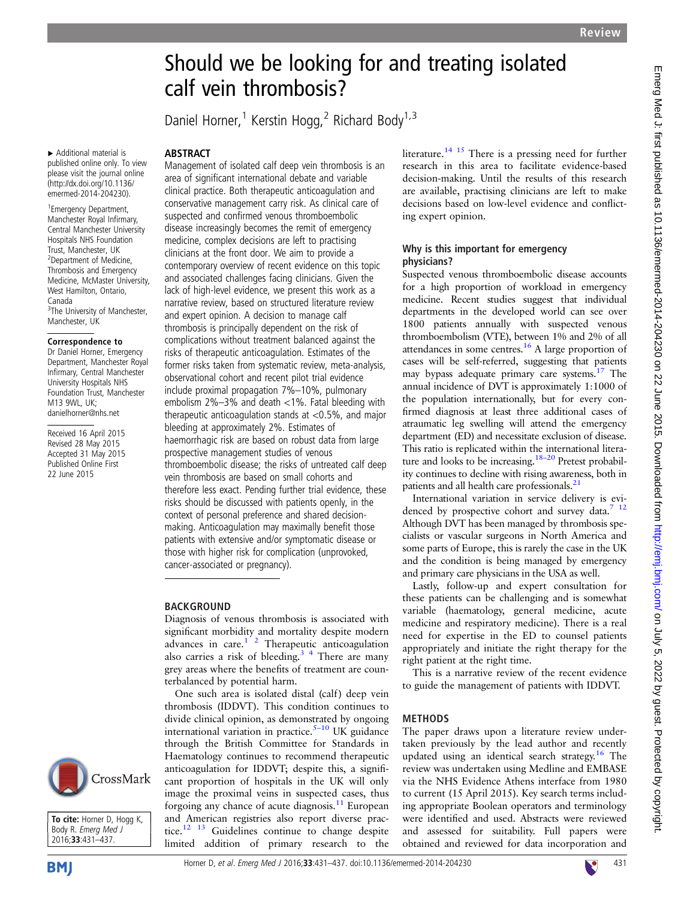# Should we be looking for and treating isolated calf vein thrombosis?

Daniel Horner,<sup>1</sup> Kerstin Hogg,<sup>2</sup> Richard Body<sup>1,3</sup>

▸ Additional material is published online only. To view please visit the journal online [\(http://dx.doi.org/10.1136/](http://dx.doi.org/10.1136/emermed-2014-204230) [emermed-2014-204230](http://dx.doi.org/10.1136/emermed-2014-204230)).

1 Emergency Department, Manchester Royal Infirmary, Central Manchester University Hospitals NHS Foundation Trust, Manchester, UK <sup>2</sup> Department of Medicine, Thrombosis and Emergency Medicine, McMaster University, West Hamilton, Ontario, Canada <sup>3</sup>The University of Manchester, Manchester, UK

#### Correspondence to

Dr Daniel Horner, Emergency Department, Manchester Royal Infirmary, Central Manchester University Hospitals NHS Foundation Trust, Manchester  $M13$  9WL, UK; danielhorner@nhs.net

Received 16 April 2015 Revised 28 May 2015 Accepted 31 May 2015 Published Online First 22 June 2015

### ABSTRACT

Management of isolated calf deep vein thrombosis is an area of significant international debate and variable clinical practice. Both therapeutic anticoagulation and conservative management carry risk. As clinical care of suspected and confirmed venous thromboembolic disease increasingly becomes the remit of emergency medicine, complex decisions are left to practising clinicians at the front door. We aim to provide a contemporary overview of recent evidence on this topic and associated challenges facing clinicians. Given the lack of high-level evidence, we present this work as a narrative review, based on structured literature review and expert opinion. A decision to manage calf thrombosis is principally dependent on the risk of complications without treatment balanced against the risks of therapeutic anticoagulation. Estimates of the former risks taken from systematic review, meta-analysis, observational cohort and recent pilot trial evidence include proximal propagation 7%–10%, pulmonary embolism 2%–3% and death <1%. Fatal bleeding with therapeutic anticoagulation stands at <0.5%, and major bleeding at approximately 2%. Estimates of haemorrhagic risk are based on robust data from large prospective management studies of venous thromboembolic disease; the risks of untreated calf deep vein thrombosis are based on small cohorts and therefore less exact. Pending further trial evidence, these risks should be discussed with patients openly, in the context of personal preference and shared decisionmaking. Anticoagulation may maximally benefit those patients with extensive and/or symptomatic disease or those with higher risk for complication (unprovoked, cancer-associated or pregnancy).

#### BACKGROUND

Diagnosis of venous thrombosis is associated with significant morbidity and mortality despite modern advances in care. $1^2$  Therapeutic anticoagulation also carries a risk of bleeding.<sup>3</sup> <sup>4</sup> There are many grey areas where the benefits of treatment are counterbalanced by potential harm.

One such area is isolated distal (calf) deep vein thrombosis (IDDVT). This condition continues to divide clinical opinion, as demonstrated by ongoing international variation in practice.<sup>5-[10](#page-5-0)</sup> UK guidance through the British Committee for Standards in Haematology continues to recommend therapeutic anticoagulation for IDDVT; despite this, a significant proportion of hospitals in the UK will only image the proximal veins in suspected cases, thus forgoing any chance of acute diagnosis[.11](#page-5-0) European and American registries also report diverse prac-tice.<sup>[12 13](#page-5-0)</sup> Guidelines continue to change despite limited addition of primary research to the

literature.<sup>14 15</sup> There is a pressing need for further research in this area to facilitate evidence-based decision-making. Until the results of this research are available, practising clinicians are left to make decisions based on low-level evidence and conflicting expert opinion.

### Why is this important for emergency physicians?

Suspected venous thromboembolic disease accounts for a high proportion of workload in emergency medicine. Recent studies suggest that individual departments in the developed world can see over 1800 patients annually with suspected venous thromboembolism (VTE), between 1% and 2% of all attendances in some centres. $16$  A large proportion of cases will be self-referred, suggesting that patients may bypass adequate primary care systems.<sup>17</sup> The annual incidence of DVT is approximately 1:1000 of the population internationally, but for every confirmed diagnosis at least three additional cases of atraumatic leg swelling will attend the emergency department (ED) and necessitate exclusion of disease. This ratio is replicated within the international literature and looks to be increasing.<sup>18–20</sup> Pretest probability continues to decline with rising awareness, both in patients and all health care professionals.<sup>21</sup>

International variation in service delivery is evidenced by prospective cohort and survey data.<sup>7</sup> <sup>12</sup> Although DVT has been managed by thrombosis specialists or vascular surgeons in North America and some parts of Europe, this is rarely the case in the UK and the condition is being managed by emergency and primary care physicians in the USA as well.

Lastly, follow-up and expert consultation for these patients can be challenging and is somewhat variable (haematology, general medicine, acute medicine and respiratory medicine). There is a real need for expertise in the ED to counsel patients appropriately and initiate the right therapy for the right patient at the right time.

This is a narrative review of the recent evidence to guide the management of patients with IDDVT.

# METHODS

The paper draws upon a literature review undertaken previously by the lead author and recently updated using an identical search strategy.<sup>[16](#page-5-0)</sup> The review was undertaken using Medline and EMBASE via the NHS Evidence Athens interface from 1980 to current (15 April 2015). Key search terms including appropriate Boolean operators and terminology were identified and used. Abstracts were reviewed and assessed for suitability. Full papers were obtained and reviewed for data incorporation and



To cite: Horner D, Hogg K, Body R. Emerg Med J 2016;33:431–437.

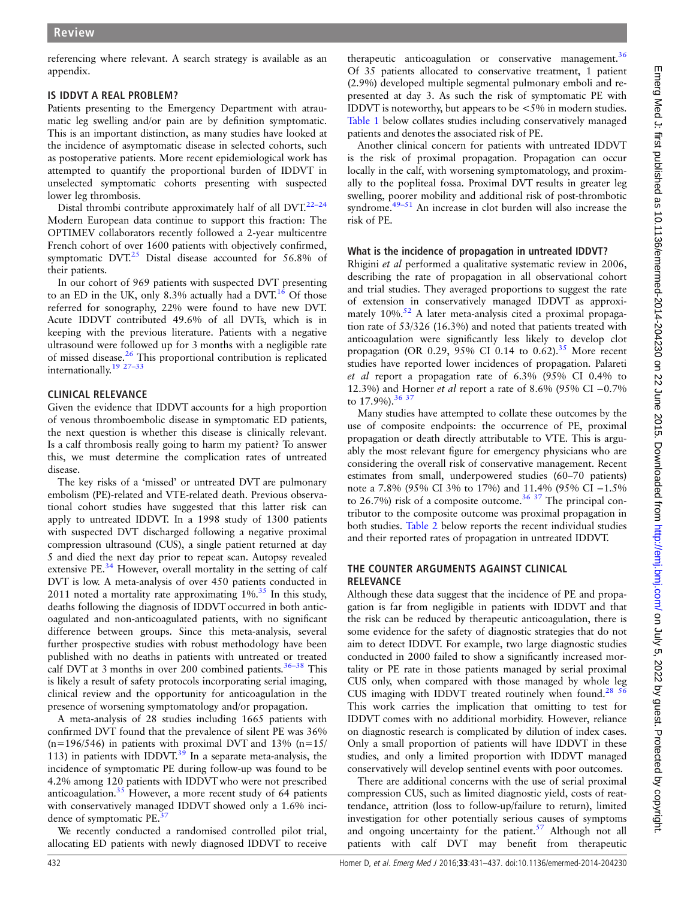referencing where relevant. A search strategy is available as an appendix.

# IS IDDVT A REAL PROBLEM?

Patients presenting to the Emergency Department with atraumatic leg swelling and/or pain are by definition symptomatic. This is an important distinction, as many studies have looked at the incidence of asymptomatic disease in selected cohorts, such as postoperative patients. More recent epidemiological work has attempted to quantify the proportional burden of IDDVT in unselected symptomatic cohorts presenting with suspected lower leg thrombosis.

Distal thrombi contribute approximately half of all DVT.<sup>[22](#page-5-0)-24</sup> Modern European data continue to support this fraction: The OPTIMEV collaborators recently followed a 2-year multicentre French cohort of over 1600 patients with objectively confirmed, symptomatic  $DVT<sup>25</sup>$  $DVT<sup>25</sup>$  $DVT<sup>25</sup>$  Distal disease accounted for 56.8% of their patients.

In our cohort of 969 patients with suspected DVT presenting to an ED in the UK, only 8.3% actually had a DVT. $^{16}$  $^{16}$  $^{16}$  Of those referred for sonography, 22% were found to have new DVT. Acute IDDVT contributed 49.6% of all DVTs, which is in keeping with the previous literature. Patients with a negative ultrasound were followed up for 3 months with a negligible rate of missed disease.[26](#page-5-0) This proportional contribution is replicated  $\frac{1}{27-33}$  $\frac{1}{27-33}$  $\frac{1}{27-33}$  internationally.<sup>[19](#page-5-0)</sup> <sup>27–33</sup>

# CLINICAL RELEVANCE

Given the evidence that IDDVT accounts for a high proportion of venous thromboembolic disease in symptomatic ED patients, the next question is whether this disease is clinically relevant. Is a calf thrombosis really going to harm my patient? To answer this, we must determine the complication rates of untreated disease.

The key risks of a 'missed' or untreated DVT are pulmonary embolism (PE)-related and VTE-related death. Previous observational cohort studies have suggested that this latter risk can apply to untreated IDDVT. In a 1998 study of 1300 patients with suspected DVT discharged following a negative proximal compression ultrasound (CUS), a single patient returned at day 5 and died the next day prior to repeat scan. Autopsy revealed extensive PE. $34$  However, overall mortality in the setting of calf DVT is low. A meta-analysis of over 450 patients conducted in 2011 noted a mortality rate approximating  $1\%$ .<sup>[35](#page-6-0)</sup> In this study, deaths following the diagnosis of IDDVT occurred in both anticoagulated and non-anticoagulated patients, with no significant difference between groups. Since this meta-analysis, several further prospective studies with robust methodology have been published with no deaths in patients with untreated or treated calf DVT at 3 months in over 200 combined patients.<sup>[36](#page-6-0)–38</sup> This is likely a result of safety protocols incorporating serial imaging, clinical review and the opportunity for anticoagulation in the presence of worsening symptomatology and/or propagation.

A meta-analysis of 28 studies including 1665 patients with confirmed DVT found that the prevalence of silent PE was 36%  $(n=196/546)$  in patients with proximal DVT and 13%  $(n=15/56)$ 113) in patients with IDDVT. $39$  In a separate meta-analysis, the incidence of symptomatic PE during follow-up was found to be 4.2% among 120 patients with IDDVT who were not prescribed anticoagulation.<sup>[35](#page-6-0)</sup> However, a more recent study of  $64$  patients with conservatively managed IDDVT showed only a 1.6% incidence of symptomatic PE.<sup>3</sup>

We recently conducted a randomised controlled pilot trial, allocating ED patients with newly diagnosed IDDVT to receive

therapeutic anticoagulation or conservative management.<sup>[36](#page-6-0)</sup> Of 35 patients allocated to conservative treatment, 1 patient (2.9%) developed multiple segmental pulmonary emboli and represented at day 3. As such the risk of symptomatic PE with IDDVT is noteworthy, but appears to be <5% in modern studies. [Table 1](#page-2-0) below collates studies including conservatively managed patients and denotes the associated risk of PE.

Another clinical concern for patients with untreated IDDVT is the risk of proximal propagation. Propagation can occur locally in the calf, with worsening symptomatology, and proximally to the popliteal fossa. Proximal DVT results in greater leg swelling, poorer mobility and additional risk of post-thrombotic syndrome.<sup>[49](#page-6-0)–51</sup> An increase in clot burden will also increase the risk of PE.

## What is the incidence of propagation in untreated IDDVT?

Rhigini et al performed a qualitative systematic review in 2006, describing the rate of propagation in all observational cohort and trial studies. They averaged proportions to suggest the rate of extension in conservatively managed IDDVT as approximately  $10\%$ .<sup>[52](#page-6-0)</sup> A later meta-analysis cited a proximal propagation rate of 53/326 (16.3%) and noted that patients treated with anticoagulation were significantly less likely to develop clot propagation (OR 0.29, 95% CI 0.14 to 0.62).<sup>35</sup> More recent studies have reported lower incidences of propagation. Palareti et al report a propagation rate of 6.3% (95% CI 0.4% to 12.3%) and Horner et al report a rate of 8.6% (95% CI −0.7% to 17.9%).<sup>36</sup> <sup>37</sup>

Many studies have attempted to collate these outcomes by the use of composite endpoints: the occurrence of PE, proximal propagation or death directly attributable to VTE. This is arguably the most relevant figure for emergency physicians who are considering the overall risk of conservative management. Recent estimates from small, underpowered studies (60–70 patients) note a 7.8% (95% CI 3% to 17%) and 11.4% (95% CI −1.5% to 26.7%) risk of a composite outcome.<sup>[36 37](#page-6-0)</sup> The principal contributor to the composite outcome was proximal propagation in both studies. [Table 2](#page-2-0) below reports the recent individual studies and their reported rates of propagation in untreated IDDVT.

#### THE COUNTER ARGUMENTS AGAINST CLINICAL **RELEVANCE**

Although these data suggest that the incidence of PE and propagation is far from negligible in patients with IDDVT and that the risk can be reduced by therapeutic anticoagulation, there is some evidence for the safety of diagnostic strategies that do not aim to detect IDDVT. For example, two large diagnostic studies conducted in 2000 failed to show a significantly increased mortality or PE rate in those patients managed by serial proximal CUS only, when compared with those managed by whole leg CUS imaging with IDDVT treated routinely when found.<sup>28</sup> This work carries the implication that omitting to test for IDDVT comes with no additional morbidity. However, reliance on diagnostic research is complicated by dilution of index cases. Only a small proportion of patients will have IDDVT in these studies, and only a limited proportion with IDDVT managed conservatively will develop sentinel events with poor outcomes.

There are additional concerns with the use of serial proximal compression CUS, such as limited diagnostic yield, costs of reattendance, attrition (loss to follow-up/failure to return), limited investigation for other potentially serious causes of symptoms and ongoing uncertainty for the patient.<sup>[57](#page-6-0)</sup> Although not all patients with calf DVT may benefit from therapeutic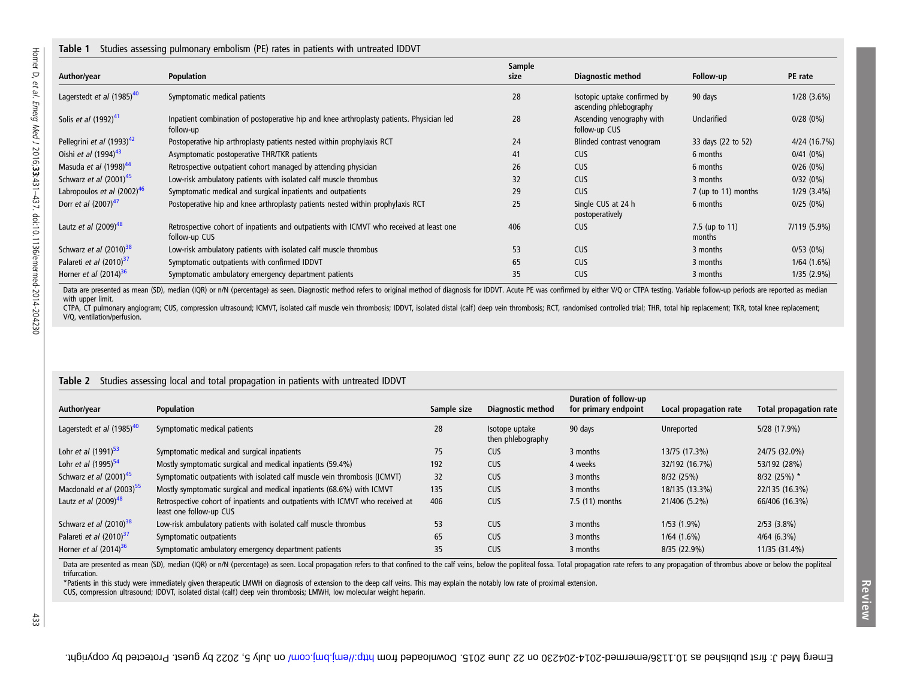<span id="page-2-0"></span>

| Author/year                            | Population                                                                                               | Sample<br>size | <b>Diagnostic method</b>                               | Follow-up                   | PE rate          |
|----------------------------------------|----------------------------------------------------------------------------------------------------------|----------------|--------------------------------------------------------|-----------------------------|------------------|
| Lagerstedt et al (1985) <sup>40</sup>  | Symptomatic medical patients                                                                             | 28             | Isotopic uptake confirmed by<br>ascending phlebography | 90 days                     | $1/28$ (3.6%)    |
| Solis et al $(1992)^{41}$              | Inpatient combination of postoperative hip and knee arthroplasty patients. Physician led<br>follow-up    | 28             | Ascending venography with<br>follow-up CUS             | Unclarified                 | 0/28(0%)         |
| Pellegrini et al $(1993)^{42}$         | Postoperative hip arthroplasty patients nested within prophylaxis RCT                                    | 24             | Blinded contrast venogram                              | 33 days (22 to 52)          | 4/24 (16.7%)     |
| Oishi et al $(1994)^{43}$              | Asymptomatic postoperative THR/TKR patients                                                              | 41             | <b>CUS</b>                                             | 6 months                    | $0/41(0\%)$      |
| Masuda et al (1998) <sup>44</sup>      | Retrospective outpatient cohort managed by attending physician                                           | 26             | <b>CUS</b>                                             | 6 months                    | 0/26(0%)         |
| Schwarz et al $(2001)^{45}$            | Low-risk ambulatory patients with isolated calf muscle thrombus                                          | 32             | <b>CUS</b>                                             | 3 months                    | 0/32(0%)         |
| Labropoulos et al (2002) <sup>46</sup> | Symptomatic medical and surgical inpatients and outpatients                                              | 29             | CUS                                                    | 7 (up to 11) months         | $1/29$ $(3.4\%)$ |
| Dorr et al (2007) <sup>47</sup>        | Postoperative hip and knee arthroplasty patients nested within prophylaxis RCT                           | 25             | Single CUS at 24 h<br>postoperatively                  | 6 months                    | 0/25(0%)         |
| Lautz et al (2009) <sup>48</sup>       | Retrospective cohort of inpatients and outpatients with ICMVT who received at least one<br>follow-up CUS | 406            | <b>CUS</b>                                             | 7.5 (up to $11$ )<br>months | 7/119 (5.9%)     |
| Schwarz et al (2010) <sup>38</sup>     | Low-risk ambulatory patients with isolated calf muscle thrombus                                          | 53             | <b>CUS</b>                                             | 3 months                    | 0/53(0%)         |
| Palareti et al (2010) <sup>37</sup>    | Symptomatic outpatients with confirmed IDDVT                                                             | 65             | <b>CUS</b>                                             | 3 months                    | $1/64$ $(1.6\%)$ |
| Horner et al $(2014)^{36}$             | Symptomatic ambulatory emergency department patients                                                     | 35             | <b>CUS</b>                                             | 3 months                    | 1/35(2.9%)       |

with upper limit.

CTPA, CT pulmonary angiogram; CUS, compression ultrasound; ICMVT, isolated calf muscle vein thrombosis; IDDVT, isolated distal (calf) deep vein thrombosis; RCT, randomised controlled trial; THR, total hip replacement; TKR, V/Q, ventilation/perfusion.

### Table 2 Studies assessing local and total propagation in patients with untreated IDDVT

| Author/year                          | <b>Population</b>                                                                                        | Sample size | <b>Diagnostic method</b>            | Duration of follow-up<br>for primary endpoint | Local propagation rate | <b>Total propagation rate</b> |
|--------------------------------------|----------------------------------------------------------------------------------------------------------|-------------|-------------------------------------|-----------------------------------------------|------------------------|-------------------------------|
| Lagerstedt et al $(1985)^{40}$       | Symptomatic medical patients                                                                             | 28          | Isotope uptake<br>then phlebography | 90 days                                       | Unreported             | 5/28 (17.9%)                  |
| Lohr et al $(1991)^{53}$             | Symptomatic medical and surgical inpatients                                                              | 75          | <b>CUS</b>                          | 3 months                                      | 13/75 (17.3%)          | 24/75 (32.0%)                 |
| Lohr et al $(1995)^{54}$             | Mostly symptomatic surgical and medical inpatients (59.4%)                                               | 192         | <b>CUS</b>                          | 4 weeks                                       | 32/192 (16.7%)         | 53/192 (28%)                  |
| Schwarz et al (2001) <sup>45</sup>   | Symptomatic outpatients with isolated calf muscle vein thrombosis (ICMVT)                                | 32          | CUS                                 | 3 months                                      | 8/32 (25%)             | 8/32 (25%) *                  |
| Macdonald et al (2003) <sup>55</sup> | Mostly symptomatic surgical and medical inpatients (68.6%) with ICMVT                                    | 135         | CUS                                 | 3 months                                      | 18/135 (13.3%)         | 22/135 (16.3%)                |
| Lautz et al $(2009)^{48}$            | Retrospective cohort of inpatients and outpatients with ICMVT who received at<br>least one follow-up CUS | 406         | <b>CUS</b>                          | 7.5 (11) months                               | 21/406 (5.2%)          | 66/406 (16.3%)                |
| Schwarz et al (2010) <sup>38</sup>   | Low-risk ambulatory patients with isolated calf muscle thrombus                                          | 53          | <b>CUS</b>                          | 3 months                                      | 1/53 (1.9%)            | $2/53$ $(3.8\%)$              |
| Palareti et al (2010) <sup>37</sup>  | Symptomatic outpatients                                                                                  | 65          | <b>CUS</b>                          | 3 months                                      | $1/64$ $(1.6\%)$       | 4/64(6.3%)                    |
| Horner <i>et al</i> $(2014)^{36}$    | Symptomatic ambulatory emergency department patients                                                     | 35          | <b>CUS</b>                          | 3 months                                      | 8/35 (22.9%)           | 11/35 (31.4%)                 |

Data are presented as mean (SD), median (IQR) or n/N (percentage) as seen. Local propagation refers to that confined to the calf veins, below the popliteal fossa. Total propagation rate refers to any propagation of thrombu trifurcation.

\*Patients in this study were immediately given therapeutic LMWH on diagnosis of extension to the deep calf veins. This may explain the notably low rate of proximal extension.

CUS, compression ultrasound; IDDVT, isolated distal (calf) deep vein thrombosis; LMWH, low molecular weight heparin.

433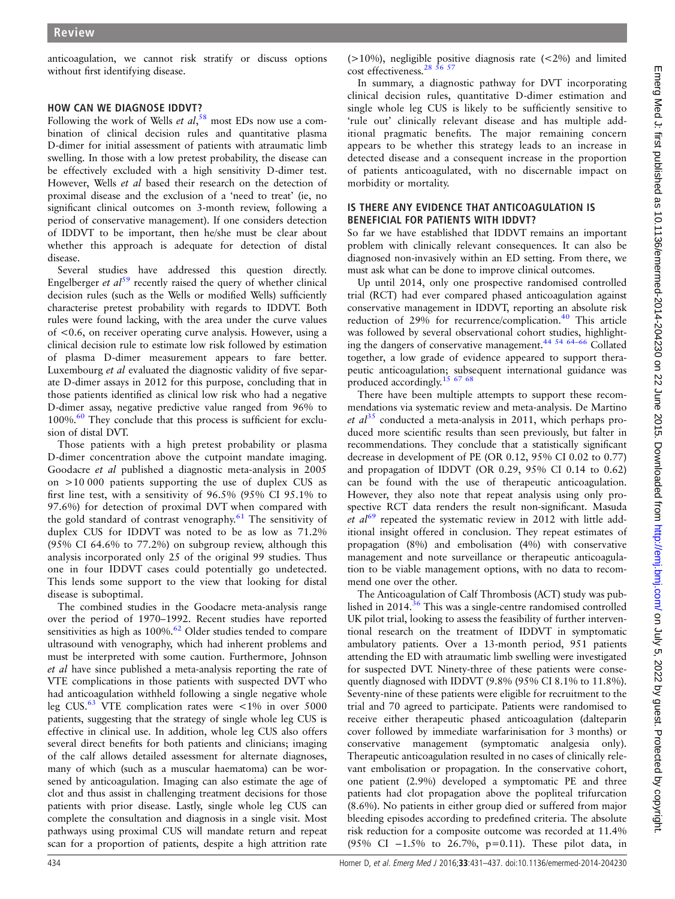anticoagulation, we cannot risk stratify or discuss options without first identifying disease.

# HOW CAN WE DIAGNOSE IDDVT?

Following the work of Wells et  $al<sub>2</sub>$ <sup>[58](#page-6-0)</sup> most EDs now use a combination of clinical decision rules and quantitative plasma D-dimer for initial assessment of patients with atraumatic limb swelling. In those with a low pretest probability, the disease can be effectively excluded with a high sensitivity D-dimer test. However, Wells et al based their research on the detection of proximal disease and the exclusion of a 'need to treat' (ie, no significant clinical outcomes on 3-month review, following a period of conservative management). If one considers detection of IDDVT to be important, then he/she must be clear about whether this approach is adequate for detection of distal disease.

Several studies have addressed this question directly. Engelberger *et al*<sup>[59](#page-6-0)</sup> recently raised the query of whether clinical decision rules (such as the Wells or modified Wells) sufficiently characterise pretest probability with regards to IDDVT. Both rules were found lacking, with the area under the curve values of <0.6, on receiver operating curve analysis. However, using a clinical decision rule to estimate low risk followed by estimation of plasma D-dimer measurement appears to fare better. Luxembourg et al evaluated the diagnostic validity of five separate D-dimer assays in 2012 for this purpose, concluding that in those patients identified as clinical low risk who had a negative D-dimer assay, negative predictive value ranged from 96% to  $100\%$ .<sup>[60](#page-6-0)</sup> They conclude that this process is sufficient for exclusion of distal DVT.

Those patients with a high pretest probability or plasma D-dimer concentration above the cutpoint mandate imaging. Goodacre et al published a diagnostic meta-analysis in 2005 on >10 000 patients supporting the use of duplex CUS as first line test, with a sensitivity of 96.5% (95% CI 95.1% to 97.6%) for detection of proximal DVT when compared with the gold standard of contrast venography.<sup>[61](#page-6-0)</sup> The sensitivity of duplex CUS for IDDVT was noted to be as low as 71.2% (95% CI 64.6% to 77.2%) on subgroup review, although this analysis incorporated only 25 of the original 99 studies. Thus one in four IDDVT cases could potentially go undetected. This lends some support to the view that looking for distal disease is suboptimal.

The combined studies in the Goodacre meta-analysis range over the period of 1970–1992. Recent studies have reported sensitivities as high as  $100\%$ .<sup>[62](#page-6-0)</sup> Older studies tended to compare ultrasound with venography, which had inherent problems and must be interpreted with some caution. Furthermore, Johnson et al have since published a meta-analysis reporting the rate of VTE complications in those patients with suspected DVT who had anticoagulation withheld following a single negative whole leg CUS.<sup>[63](#page-6-0)</sup> VTE complication rates were  $\lt 1\%$  in over 5000 patients, suggesting that the strategy of single whole leg CUS is effective in clinical use. In addition, whole leg CUS also offers several direct benefits for both patients and clinicians; imaging of the calf allows detailed assessment for alternate diagnoses, many of which (such as a muscular haematoma) can be worsened by anticoagulation. Imaging can also estimate the age of clot and thus assist in challenging treatment decisions for those patients with prior disease. Lastly, single whole leg CUS can complete the consultation and diagnosis in a single visit. Most pathways using proximal CUS will mandate return and repeat scan for a proportion of patients, despite a high attrition rate

(>10%), negligible positive diagnosis rate (<2%) and limited cost effectiveness.<sup>[28](#page-5-0)</sup> [56 57](#page-6-0)

In summary, a diagnostic pathway for DVT incorporating clinical decision rules, quantitative D-dimer estimation and single whole leg CUS is likely to be sufficiently sensitive to 'rule out' clinically relevant disease and has multiple additional pragmatic benefits. The major remaining concern appears to be whether this strategy leads to an increase in detected disease and a consequent increase in the proportion of patients anticoagulated, with no discernable impact on morbidity or mortality.

# IS THERE ANY EVIDENCE THAT ANTICOAGULATION IS BENEFICIAL FOR PATIENTS WITH IDDVT?

So far we have established that IDDVT remains an important problem with clinically relevant consequences. It can also be diagnosed non-invasively within an ED setting. From there, we must ask what can be done to improve clinical outcomes.

Up until 2014, only one prospective randomised controlled trial (RCT) had ever compared phased anticoagulation against conservative management in IDDVT, reporting an absolute risk reduction of 29% for recurrence/complication.<sup>[40](#page-6-0)</sup> This article was followed by several observational cohort studies, highlight-ing the dangers of conservative management.<sup>[44 54 64](#page-6-0)–66</sup> Collated together, a low grade of evidence appeared to support therapeutic anticoagulation; subsequent international guidance was produced accordingly.<sup>[15](#page-5-0) [67 68](#page-6-0)</sup>

There have been multiple attempts to support these recommendations via systematic review and meta-analysis. De Martino et  $al^{35}$  $al^{35}$  $al^{35}$  conducted a meta-analysis in 2011, which perhaps produced more scientific results than seen previously, but falter in recommendations. They conclude that a statistically significant decrease in development of PE (OR 0.12, 95% CI 0.02 to 0.77) and propagation of IDDVT (OR 0.29, 95% CI 0.14 to 0.62) can be found with the use of therapeutic anticoagulation. However, they also note that repeat analysis using only prospective RCT data renders the result non-significant. Masuda et  $al^{69}$  $al^{69}$  $al^{69}$  repeated the systematic review in 2012 with little additional insight offered in conclusion. They repeat estimates of propagation (8%) and embolisation (4%) with conservative management and note surveillance or therapeutic anticoagulation to be viable management options, with no data to recommend one over the other.

The Anticoagulation of Calf Thrombosis (ACT) study was published in 2014.[36](#page-6-0) This was a single-centre randomised controlled UK pilot trial, looking to assess the feasibility of further interventional research on the treatment of IDDVT in symptomatic ambulatory patients. Over a 13-month period, 951 patients attending the ED with atraumatic limb swelling were investigated for suspected DVT. Ninety-three of these patients were consequently diagnosed with IDDVT (9.8% (95% CI 8.1% to 11.8%). Seventy-nine of these patients were eligible for recruitment to the trial and 70 agreed to participate. Patients were randomised to receive either therapeutic phased anticoagulation (dalteparin cover followed by immediate warfarinisation for 3 months) or conservative management (symptomatic analgesia only). Therapeutic anticoagulation resulted in no cases of clinically relevant embolisation or propagation. In the conservative cohort, one patient (2.9%) developed a symptomatic PE and three patients had clot propagation above the popliteal trifurcation (8.6%). No patients in either group died or suffered from major bleeding episodes according to predefined criteria. The absolute risk reduction for a composite outcome was recorded at 11.4% (95% CI −1.5% to 26.7%, p=0.11). These pilot data, in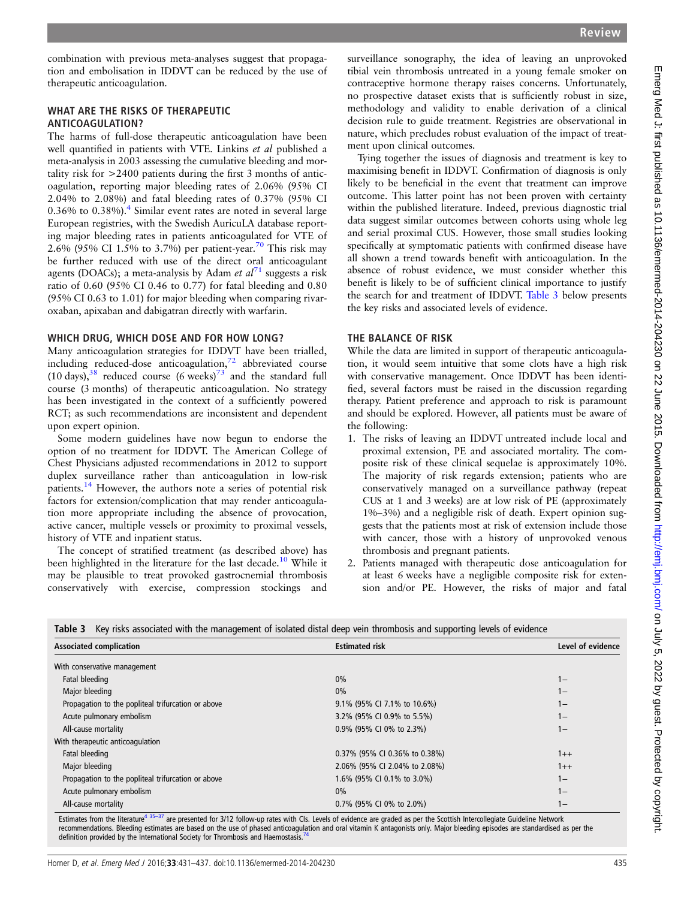combination with previous meta-analyses suggest that propagation and embolisation in IDDVT can be reduced by the use of therapeutic anticoagulation.

# WHAT ARE THE RISKS OF THERAPEUTIC ANTICOAGULATION?

The harms of full-dose therapeutic anticoagulation have been well quantified in patients with VTE. Linkins et al published a meta-analysis in 2003 assessing the cumulative bleeding and mortality risk for >2400 patients during the first 3 months of anticoagulation, reporting major bleeding rates of 2.06% (95% CI 2.04% to 2.08%) and fatal bleeding rates of 0.37% (95% CI  $0.36\%$  to  $0.38\%$ ).<sup>[4](#page-5-0)</sup> Similar event rates are noted in several large European registries, with the Swedish AuricuLA database reporting major bleeding rates in patients anticoagulated for VTE of 2.6% (95% CI 1.5% to 3.7%) per patient-year.<sup>[70](#page-6-0)</sup> This risk may be further reduced with use of the direct oral anticoagulant agents (DOACs); a meta-analysis by Adam et  $al^{71}$  $al^{71}$  $al^{71}$  suggests a risk ratio of 0.60 (95% CI 0.46 to 0.77) for fatal bleeding and 0.80 (95% CI 0.63 to 1.01) for major bleeding when comparing rivaroxaban, apixaban and dabigatran directly with warfarin.

## WHICH DRUG, WHICH DOSE AND FOR HOW LONG?

Many anticoagulation strategies for IDDVT have been trialled, including reduced-dose anticoagulation, $72$  abbreviated course (10 days),<sup>[38](#page-6-0)</sup> reduced course (6 weeks)<sup>[73](#page-6-0)</sup> and the standard full course (3 months) of therapeutic anticoagulation. No strategy has been investigated in the context of a sufficiently powered RCT; as such recommendations are inconsistent and dependent upon expert opinion.

Some modern guidelines have now begun to endorse the option of no treatment for IDDVT. The American College of Chest Physicians adjusted recommendations in 2012 to support duplex surveillance rather than anticoagulation in low-risk patients.<sup>[14](#page-5-0)</sup> However, the authors note a series of potential risk factors for extension/complication that may render anticoagulation more appropriate including the absence of provocation, active cancer, multiple vessels or proximity to proximal vessels, history of VTE and inpatient status.

The concept of stratified treatment (as described above) has been highlighted in the literature for the last decade.<sup>[10](#page-5-0)</sup> While it may be plausible to treat provoked gastrocnemial thrombosis conservatively with exercise, compression stockings and

surveillance sonography, the idea of leaving an unprovoked tibial vein thrombosis untreated in a young female smoker on contraceptive hormone therapy raises concerns. Unfortunately, no prospective dataset exists that is sufficiently robust in size, methodology and validity to enable derivation of a clinical decision rule to guide treatment. Registries are observational in nature, which precludes robust evaluation of the impact of treatment upon clinical outcomes.

Tying together the issues of diagnosis and treatment is key to maximising benefit in IDDVT. Confirmation of diagnosis is only likely to be beneficial in the event that treatment can improve outcome. This latter point has not been proven with certainty within the published literature. Indeed, previous diagnostic trial data suggest similar outcomes between cohorts using whole leg and serial proximal CUS. However, those small studies looking specifically at symptomatic patients with confirmed disease have all shown a trend towards benefit with anticoagulation. In the absence of robust evidence, we must consider whether this benefit is likely to be of sufficient clinical importance to justify the search for and treatment of IDDVT. Table 3 below presents the key risks and associated levels of evidence.

# THE BALANCE OF RISK

While the data are limited in support of therapeutic anticoagulation, it would seem intuitive that some clots have a high risk with conservative management. Once IDDVT has been identified, several factors must be raised in the discussion regarding therapy. Patient preference and approach to risk is paramount and should be explored. However, all patients must be aware of the following:

- 1. The risks of leaving an IDDVT untreated include local and proximal extension, PE and associated mortality. The composite risk of these clinical sequelae is approximately 10%. The majority of risk regards extension; patients who are conservatively managed on a surveillance pathway (repeat CUS at 1 and 3 weeks) are at low risk of PE (approximately 1%–3%) and a negligible risk of death. Expert opinion suggests that the patients most at risk of extension include those with cancer, those with a history of unprovoked venous thrombosis and pregnant patients.
- 2. Patients managed with therapeutic dose anticoagulation for at least 6 weeks have a negligible composite risk for extension and/or PE. However, the risks of major and fatal

|  | Table 3 Key risks associated with the management of isolated distal deep vein thrombosis and supporting levels of evidence |  |  |
|--|----------------------------------------------------------------------------------------------------------------------------|--|--|
|  |                                                                                                                            |  |  |

| <b>Associated complication</b>                     | <b>Estimated risk</b>         | Level of evidence |
|----------------------------------------------------|-------------------------------|-------------------|
| With conservative management                       |                               |                   |
| Fatal bleeding                                     | $0\%$                         | $1 -$             |
| Major bleeding                                     | $0\%$                         | $1 -$             |
| Propagation to the popliteal trifurcation or above | 9.1% (95% CI 7.1% to 10.6%)   | $1 -$             |
| Acute pulmonary embolism                           | 3.2% (95% CI 0.9% to 5.5%)    | $1 -$             |
| All-cause mortality                                | 0.9% (95% CI 0% to 2.3%)      | $1 -$             |
| With therapeutic anticoagulation                   |                               |                   |
| Fatal bleeding                                     | 0.37% (95% CI 0.36% to 0.38%) | $1 + +$           |
| Major bleeding                                     | 2.06% (95% CI 2.04% to 2.08%) | $1 + +$           |
| Propagation to the popliteal trifurcation or above | 1.6% (95% CI 0.1% to 3.0%)    | $1 -$             |
| Acute pulmonary embolism                           | $0\%$                         | $1 -$             |
| All-cause mortality                                | 0.7% (95% CI 0% to 2.0%)      | $1 -$             |

Estimates from the literature<sup>[4](#page-5-0) [35](#page-6-0)–37</sup> are presented for 3/12 follow-up rates with CIs. Levels of evidence are graded as per the Scottish Intercollegiate Guideline Network recommendations. Bleeding estimates are based on the use of phased anticoagulation and oral vitamin K antagonists only. Major bleeding episodes are standardised as per the definition provided by the International Society for Thrombosis and Haemostasis.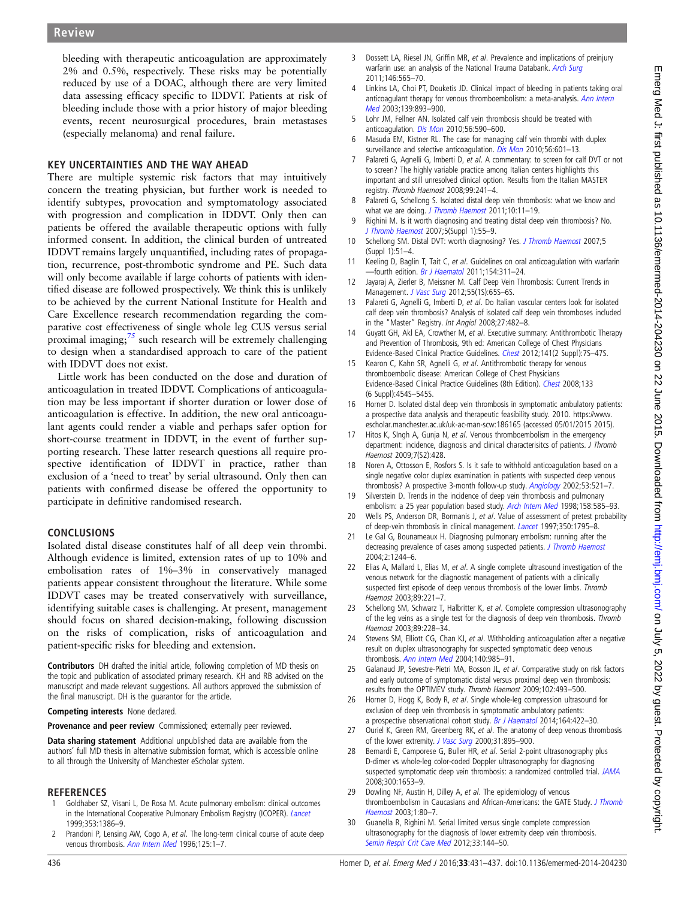<span id="page-5-0"></span>bleeding with therapeutic anticoagulation are approximately 2% and 0.5%, respectively. These risks may be potentially reduced by use of a DOAC, although there are very limited data assessing efficacy specific to IDDVT. Patients at risk of bleeding include those with a prior history of major bleeding events, recent neurosurgical procedures, brain metastases (especially melanoma) and renal failure.

#### KEY UNCERTAINTIES AND THE WAY AHEAD

There are multiple systemic risk factors that may intuitively concern the treating physician, but further work is needed to identify subtypes, provocation and symptomatology associated with progression and complication in IDDVT. Only then can patients be offered the available therapeutic options with fully informed consent. In addition, the clinical burden of untreated IDDVT remains largely unquantified, including rates of propagation, recurrence, post-thrombotic syndrome and PE. Such data will only become available if large cohorts of patients with identified disease are followed prospectively. We think this is unlikely to be achieved by the current National Institute for Health and Care Excellence research recommendation regarding the comparative cost effectiveness of single whole leg CUS versus serial proximal imaging; $\frac{75}{3}$  $\frac{75}{3}$  $\frac{75}{3}$  such research will be extremely challenging to design when a standardised approach to care of the patient with IDDVT does not exist.

Little work has been conducted on the dose and duration of anticoagulation in treated IDDVT. Complications of anticoagulation may be less important if shorter duration or lower dose of anticoagulation is effective. In addition, the new oral anticoagulant agents could render a viable and perhaps safer option for short-course treatment in IDDVT, in the event of further supporting research. These latter research questions all require prospective identification of IDDVT in practice, rather than exclusion of a 'need to treat' by serial ultrasound. Only then can patients with confirmed disease be offered the opportunity to participate in definitive randomised research.

#### **CONCLUSIONS**

Isolated distal disease constitutes half of all deep vein thrombi. Although evidence is limited, extension rates of up to 10% and embolisation rates of 1%–3% in conservatively managed patients appear consistent throughout the literature. While some IDDVT cases may be treated conservatively with surveillance, identifying suitable cases is challenging. At present, management should focus on shared decision-making, following discussion on the risks of complication, risks of anticoagulation and patient-specific risks for bleeding and extension.

Contributors DH drafted the initial article, following completion of MD thesis on the topic and publication of associated primary research. KH and RB advised on the manuscript and made relevant suggestions. All authors approved the submission of the final manuscript. DH is the guarantor for the article.

Competing interests None declared.

Provenance and peer review Commissioned; externally peer reviewed.

Data sharing statement Additional unpublished data are available from the authors' full MD thesis in alternative submission format, which is accessible online to all through the University of Manchester eScholar system.

#### REFERENCES

- 1 Goldhaber SZ, Visani L, De Rosa M. Acute pulmonary embolism: clinical outcomes in the International Cooperative Pulmonary Embolism Registry (ICOPER). [Lancet](http://dx.doi.org/10.1016/S0140-6736(98)07534-5) 1999;353:1386–9.
- 2 Prandoni P, Lensing AW, Cogo A, et al. The long-term clinical course of acute deep venous thrombosis. [Ann Intern Med](http://dx.doi.org/10.7326/0003-4819-125-1-199607010-00001) 1996;125:1-7.
- 3 Dossett LA, Riesel JN, Griffin MR, et al. Prevalence and implications of preinjury warfarin use: an analysis of the National Trauma Databank. [Arch Surg](http://dx.doi.org/10.1001/archsurg.2010.313) 2011;146:565–70.
- 4 Linkins LA, Choi PT, Douketis JD. Clinical impact of bleeding in patients taking oral anticoagulant therapy for venous thromboembolism: a meta-analysis. [Ann Intern](http://dx.doi.org/10.7326/0003-4819-139-11-200312020-00007) [Med](http://dx.doi.org/10.7326/0003-4819-139-11-200312020-00007) 2003;139:893–900.
- 5 Lohr JM, Fellner AN. Isolated calf vein thrombosis should be treated with anticoagulation. [Dis Mon](http://dx.doi.org/10.1016/j.disamonth.2010.06.010) 2010;56:590-600.
- 6 Masuda EM, Kistner RL. The case for managing calf vein thrombi with duplex surveillance and selective anticoagulation. [Dis Mon](http://dx.doi.org/10.1016/j.disamonth.2010.06.011) 2010;56:601-13.
- 7 Palareti G, Agnelli G, Imberti D, et al. A commentary: to screen for calf DVT or not to screen? The highly variable practice among Italian centers highlights this important and still unresolved clinical option. Results from the Italian MASTER registry. Thromb Haemost 2008;99:241–4.
- Palareti G, Schellong S. Isolated distal deep vein thrombosis: what we know and what we are doing. [J Thromb Haemost](http://dx.doi.org/10.1111/j.1538-7836.2011.04564.x) 2011;10:11-19.
- 9 Righini M. Is it worth diagnosing and treating distal deep vein thrombosis? No. [J Thromb Haemost](http://dx.doi.org/10.1111/j.1538-7836.2007.02468.x) 2007;5(Suppl 1):55–9.
- 10 Schellong SM. Distal DVT: worth diagnosing? Yes. [J Thromb Haemost](http://dx.doi.org/10.1111/j.1538-7836.2007.02490.x) 2007;5 (Suppl 1):51–4.
- 11 Keeling D, Baglin T, Tait C, et al. Guidelines on oral anticoagulation with warfarin —fourth edition. [Br J Haematol](http://dx.doi.org/10.1111/j.1365-2141.2011.08753.x) 2011;154:311–24.
- 12 Jayaraj A, Zierler B, Meissner M. Calf Deep Vein Thrombosis: Current Trends in Management. [J Vasc Surg](http://dx.doi.org/10.1016/j.jvs.2012.03.170) 2012;55(1S):65S-6S.
- 13 Palareti G, Agnelli G, Imberti D, et al. Do Italian vascular centers look for isolated calf deep vein thrombosis? Analysis of isolated calf deep vein thromboses included in the "Master" Registry. Int Angiol 2008;27:482–8.
- 14 Guyatt GH, Akl EA, Crowther M, et al. Executive summary: Antithrombotic Therapy and Prevention of Thrombosis, 9th ed: American College of Chest Physicians Evidence-Based Clinical Practice Guidelines. [Chest](http://dx.doi.org/10.1378/chest.1412S3) 2012;141(2 Suppl):7S-47S.
- 15 Kearon C, Kahn SR, Agnelli G, et al. Antithrombotic therapy for venous thromboembolic disease: American College of Chest Physicians Evidence-Based Clinical Practice Guidelines (8th Edition). [Chest](http://dx.doi.org/10.1378/chest.08-0658) 2008;133 (6 Suppl):454S–545S.
- Horner D. Isolated distal deep vein thrombosis in symptomatic ambulatory patients: a prospective data analysis and therapeutic feasibility study. 2010. [https://www.](https://www.escholar.manchester.ac.uk/uk-ac-man-scw:186165) [escholar.manchester.ac.uk/uk-ac-man-scw:186165](https://www.escholar.manchester.ac.uk/uk-ac-man-scw:186165) (accessed 05/01/2015 2015).
- 17 Hitos K, Slngh A, Gunja N, et al. Venous thromboembolism in the emergency department: incidence, diagnosis and clinical characterisitcs of patients. J Thromb Haemost 2009;7(S2):428.
- 18 Noren A, Ottosson E, Rosfors S. Is it safe to withhold anticoagulation based on a single negative color duplex examination in patients with suspected deep venous thrombosis? A prospective 3-month follow-up study. [Angiology](http://dx.doi.org/10.1177/000331970205300504) 2002;53:521-7.
- 19 Silverstein D. Trends in the incidence of deep vein thrombosis and pulmonary embolism: a 25 year population based study. [Arch Intern Med](http://dx.doi.org/10.1001/archinte.158.6.585) 1998;158:585-93.
- 20 Wells PS, Anderson DR, Bormanis J, et al. Value of assessment of pretest probability of deep-vein thrombosis in clinical management. [Lancet](http://dx.doi.org/10.1016/S0140-6736(97)08140-3) 1997;350:1795-8.
- 21 Le Gal G, Bounameaux H. Diagnosing pulmonary embolism: running after the decreasing prevalence of cases among suspected patients. [J Thromb Haemost](http://dx.doi.org/10.1111/j.1538-7836.2004.00795.x) 2004;2:1244–6.
- 22 Elias A, Mallard L, Elias M, et al. A single complete ultrasound investigation of the venous network for the diagnostic management of patients with a clinically suspected first episode of deep venous thrombosis of the lower limbs. Thromb Haemost 2003;89:221–7.
- Schellong SM, Schwarz T, Halbritter K, et al. Complete compression ultrasonography of the leg veins as a single test for the diagnosis of deep vein thrombosis. Thromb Haemost 2003;89:228–34.
- 24 Stevens SM, Elliott CG, Chan KJ, et al. Withholding anticoagulation after a negative result on duplex ultrasonography for suspected symptomatic deep venous thrombosis. [Ann Intern Med](http://dx.doi.org/10.7326/0003-4819-140-12-200406150-00007) 2004;140:985-91.
- 25 Galanaud JP, Sevestre-Pietri MA, Bosson JL, et al. Comparative study on risk factors and early outcome of symptomatic distal versus proximal deep vein thrombosis: results from the OPTIMEV study. Thromb Haemost 2009;102:493–500.
- 26 Horner D, Hogg K, Body R, et al. Single whole-leg compression ultrasound for exclusion of deep vein thrombosis in symptomatic ambulatory patients: a prospective observational cohort study. [Br J Haematol](http://dx.doi.org/10.1111/bjh.12642) 2014;164:422–30.
- 27 Ouriel K, Green RM, Greenberg RK, et al. The anatomy of deep venous thrombosis of the lower extremity. [J Vasc Surg](http://dx.doi.org/10.1067/mva.2000.105956) 2000;31:895-900.
- 28 Bernardi E, Camporese G, Buller HR, et al. Serial 2-point ultrasonography plus D-dimer vs whole-leg color-coded Doppler ultrasonography for diagnosing suspected symptomatic deep vein thrombosis: a randomized controlled trial. [JAMA](http://dx.doi.org/10.1001/jama.300.14.1653) 2008;300:1653–9.
- 29 Dowling NF, Austin H, Dilley A, et al. The epidemiology of venous thromboembolism in Caucasians and African-Americans: the GATE Study. [J Thromb](http://dx.doi.org/10.1046/j.1538-7836.2003.00031.x) [Haemost](http://dx.doi.org/10.1046/j.1538-7836.2003.00031.x) 2003;1:80–7.
- 30 Guanella R, Righini M. Serial limited versus single complete compression ultrasonography for the diagnosis of lower extremity deep vein thrombosis. [Semin Respir Crit Care Med](http://dx.doi.org/10.1055/s-0032-1311793) 2012;33:144–50.